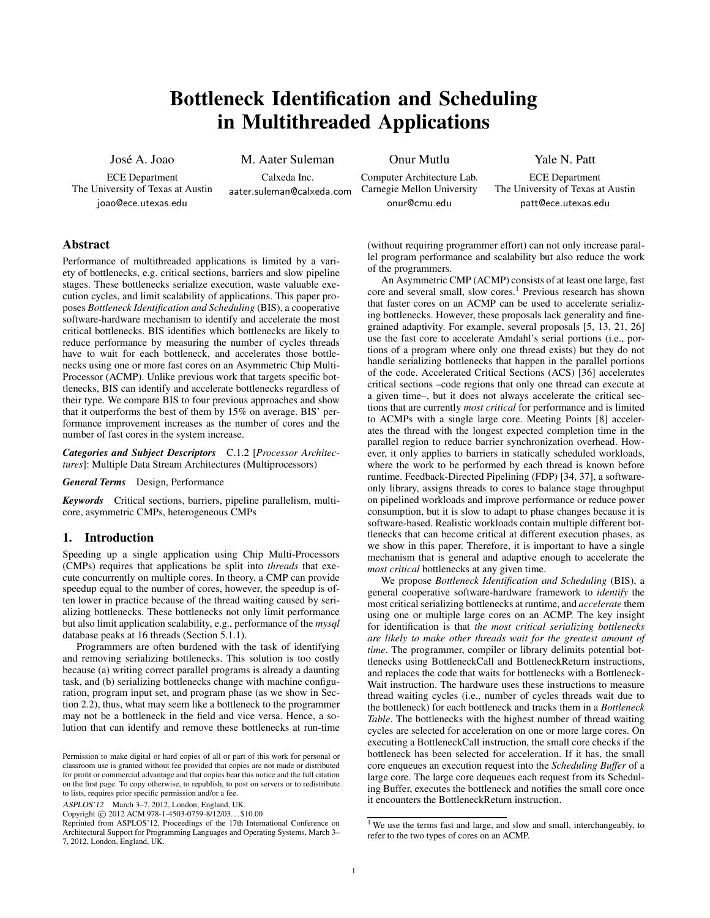# **Bottleneck Identification and Scheduling in Multithreaded Applications**

José A. Joao

ECE Department The University of Texas at Austin joao@ece.utexas.edu

M. Aater Suleman Calxeda Inc. aater.suleman@calxeda.com Onur Mutlu

Computer Architecture Lab. Carnegie Mellon University onur@cmu.edu

Yale N. Patt ECE Department

The University of Texas at Austin patt@ece.utexas.edu

**Abstract**

Performance of multithreaded applications is limited by a variety of bottlenecks, e.g. critical sections, barriers and slow pipeline stages. These bottlenecks serialize execution, waste valuable execution cycles, and limit scalability of applications. This paper proposes *Bottleneck Identification and Scheduling* (BIS), a cooperative software-hardware mechanism to identify and accelerate the most critical bottlenecks. BIS identifies which bottlenecks are likely to reduce performance by measuring the number of cycles threads have to wait for each bottleneck, and accelerates those bottlenecks using one or more fast cores on an Asymmetric Chip Multi-Processor (ACMP). Unlike previous work that targets specific bottlenecks, BIS can identify and accelerate bottlenecks regardless of their type. We compare BIS to four previous approaches and show that it outperforms the best of them by 15% on average. BIS' performance improvement increases as the number of cores and the number of fast cores in the system increase.

*Categories and Subject Descriptors* C.1.2 [*Processor Architectures*]: Multiple Data Stream Architectures (Multiprocessors)

*General Terms* Design, Performance

*Keywords* Critical sections, barriers, pipeline parallelism, multicore, asymmetric CMPs, heterogeneous CMPs

## **1. Introduction**

Speeding up a single application using Chip Multi-Processors (CMPs) requires that applications be split into *threads* that execute concurrently on multiple cores. In theory, a CMP can provide speedup equal to the number of cores, however, the speedup is often lower in practice because of the thread waiting caused by serializing bottlenecks. These bottlenecks not only limit performance but also limit application scalability, e.g., performance of the *mysql* database peaks at 16 threads (Section 5.1.1).

Programmers are often burdened with the task of identifying and removing serializing bottlenecks. This solution is too costly because (a) writing correct parallel programs is already a daunting task, and (b) serializing bottlenecks change with machine configuration, program input set, and program phase (as we show in Section 2.2), thus, what may seem like a bottleneck to the programmer may not be a bottleneck in the field and vice versa. Hence, a solution that can identify and remove these bottlenecks at run-time

ASPLOS'12 March 3–7, 2012, London, England, UK.

(without requiring programmer effort) can not only increase parallel program performance and scalability but also reduce the work of the programmers.

An Asymmetric CMP (ACMP) consists of at least one large, fast core and several small, slow cores.<sup>1</sup> Previous research has shown that faster cores on an ACMP can be used to accelerate serializing bottlenecks. However, these proposals lack generality and finegrained adaptivity. For example, several proposals [5, 13, 21, 26] use the fast core to accelerate Amdahl's serial portions (i.e., portions of a program where only one thread exists) but they do not handle serializing bottlenecks that happen in the parallel portions of the code. Accelerated Critical Sections (ACS) [36] accelerates critical sections –code regions that only one thread can execute at a given time–, but it does not always accelerate the critical sections that are currently *most critical* for performance and is limited to ACMPs with a single large core. Meeting Points [8] accelerates the thread with the longest expected completion time in the parallel region to reduce barrier synchronization overhead. However, it only applies to barriers in statically scheduled workloads, where the work to be performed by each thread is known before runtime. Feedback-Directed Pipelining (FDP) [34, 37], a softwareonly library, assigns threads to cores to balance stage throughput on pipelined workloads and improve performance or reduce power consumption, but it is slow to adapt to phase changes because it is software-based. Realistic workloads contain multiple different bottlenecks that can become critical at different execution phases, as we show in this paper. Therefore, it is important to have a single mechanism that is general and adaptive enough to accelerate the *most critical* bottlenecks at any given time.

We propose *Bottleneck Identification and Scheduling* (BIS), a general cooperative software-hardware framework to *identify* the most critical serializing bottlenecks at runtime, and *accelerate* them using one or multiple large cores on an ACMP. The key insight for identification is that *the most critical serializing bottlenecks are likely to make other threads wait for the greatest amount of time*. The programmer, compiler or library delimits potential bottlenecks using BottleneckCall and BottleneckReturn instructions, and replaces the code that waits for bottlenecks with a Bottleneck-Wait instruction. The hardware uses these instructions to measure thread waiting cycles (i.e., number of cycles threads wait due to the bottleneck) for each bottleneck and tracks them in a *Bottleneck Table*. The bottlenecks with the highest number of thread waiting cycles are selected for acceleration on one or more large cores. On executing a BottleneckCall instruction, the small core checks if the bottleneck has been selected for acceleration. If it has, the small core enqueues an execution request into the *Scheduling Buffer* of a large core. The large core dequeues each request from its Scheduling Buffer, executes the bottleneck and notifies the small core once it encounters the BottleneckReturn instruction.

Permission to make digital or hard copies of all or part of this work for personal or classroom use is granted without fee provided that copies are not made or distributed for profit or commercial advantage and that copies bear this notice and the full citation on the first page. To copy otherwise, to republish, to post on servers or to redistribute to lists, requires prior specific permission and/or a fee.

Copyright © 2012 ACM 978-1-4503-0759-8/12/03... \$10.00

Reprinted from ASPLOS'12, Proceedings of the 17th International Conference on Architectural Support for Programming Languages and Operating Systems, March 3– 7, 2012, London, England, UK.

<sup>&</sup>lt;sup>1</sup> We use the terms fast and large, and slow and small, interchangeably, to refer to the two types of cores on an ACMP.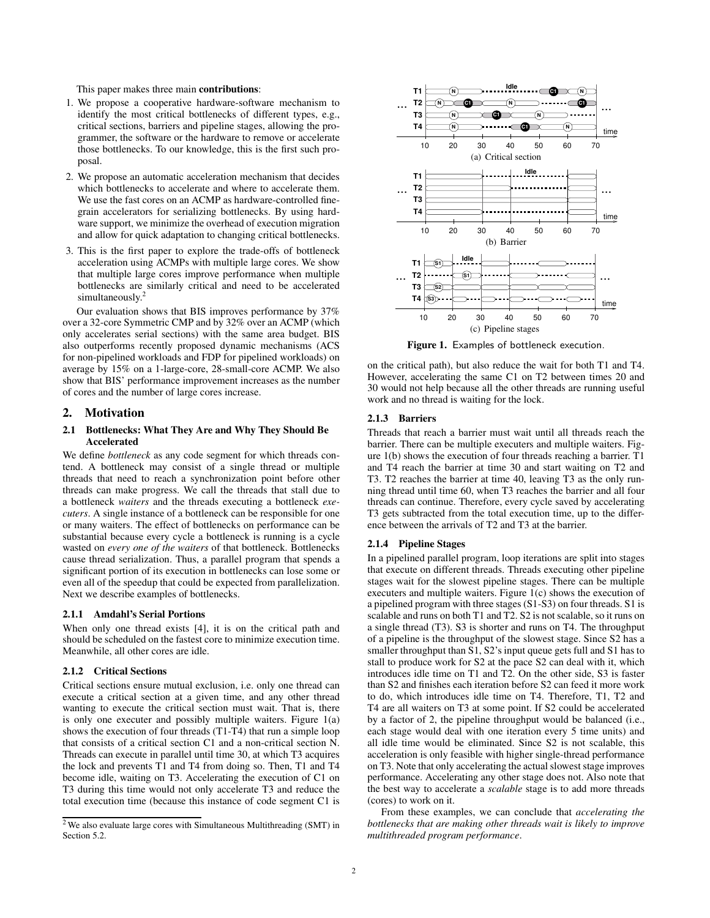This paper makes three main **contributions**:

- 1. We propose a cooperative hardware-software mechanism to identify the most critical bottlenecks of different types, e.g., critical sections, barriers and pipeline stages, allowing the programmer, the software or the hardware to remove or accelerate those bottlenecks. To our knowledge, this is the first such proposal.
- 2. We propose an automatic acceleration mechanism that decides which bottlenecks to accelerate and where to accelerate them. We use the fast cores on an ACMP as hardware-controlled finegrain accelerators for serializing bottlenecks. By using hardware support, we minimize the overhead of execution migration and allow for quick adaptation to changing critical bottlenecks.
- 3. This is the first paper to explore the trade-offs of bottleneck acceleration using ACMPs with multiple large cores. We show that multiple large cores improve performance when multiple bottlenecks are similarly critical and need to be accelerated simultaneously.<sup>2</sup>

Our evaluation shows that BIS improves performance by 37% over a 32-core Symmetric CMP and by 32% over an ACMP (which only accelerates serial sections) with the same area budget. BIS also outperforms recently proposed dynamic mechanisms (ACS for non-pipelined workloads and FDP for pipelined workloads) on average by 15% on a 1-large-core, 28-small-core ACMP. We also show that BIS' performance improvement increases as the number of cores and the number of large cores increase.

## **2. Motivation**

## **2.1 Bottlenecks: What They Are and Why They Should Be Accelerated**

We define *bottleneck* as any code segment for which threads contend. A bottleneck may consist of a single thread or multiple threads that need to reach a synchronization point before other threads can make progress. We call the threads that stall due to a bottleneck *waiters* and the threads executing a bottleneck *executers*. A single instance of a bottleneck can be responsible for one or many waiters. The effect of bottlenecks on performance can be substantial because every cycle a bottleneck is running is a cycle wasted on *every one of the waiters* of that bottleneck. Bottlenecks cause thread serialization. Thus, a parallel program that spends a significant portion of its execution in bottlenecks can lose some or even all of the speedup that could be expected from parallelization. Next we describe examples of bottlenecks.

#### **2.1.1 Amdahl's Serial Portions**

When only one thread exists [4], it is on the critical path and should be scheduled on the fastest core to minimize execution time. Meanwhile, all other cores are idle.

## **2.1.2 Critical Sections**

Critical sections ensure mutual exclusion, i.e. only one thread can execute a critical section at a given time, and any other thread wanting to execute the critical section must wait. That is, there is only one executer and possibly multiple waiters. Figure 1(a) shows the execution of four threads (T1-T4) that run a simple loop that consists of a critical section C1 and a non-critical section N. Threads can execute in parallel until time 30, at which T3 acquires the lock and prevents T1 and T4 from doing so. Then, T1 and T4 become idle, waiting on T3. Accelerating the execution of C1 on T3 during this time would not only accelerate T3 and reduce the total execution time (because this instance of code segment C1 is



**Figure 1.** Examples of bottleneck execution.

on the critical path), but also reduce the wait for both T1 and T4. However, accelerating the same C1 on T2 between times 20 and 30 would not help because all the other threads are running useful work and no thread is waiting for the lock.

## **2.1.3 Barriers**

Threads that reach a barrier must wait until all threads reach the barrier. There can be multiple executers and multiple waiters. Figure 1(b) shows the execution of four threads reaching a barrier. T1 and T4 reach the barrier at time 30 and start waiting on T2 and T3. T2 reaches the barrier at time 40, leaving T3 as the only running thread until time 60, when T3 reaches the barrier and all four threads can continue. Therefore, every cycle saved by accelerating T3 gets subtracted from the total execution time, up to the difference between the arrivals of T2 and T3 at the barrier.

#### **2.1.4 Pipeline Stages**

In a pipelined parallel program, loop iterations are split into stages that execute on different threads. Threads executing other pipeline stages wait for the slowest pipeline stages. There can be multiple executers and multiple waiters. Figure 1(c) shows the execution of a pipelined program with three stages (S1-S3) on four threads. S1 is scalable and runs on both T1 and T2. S2 is not scalable, so it runs on a single thread (T3). S3 is shorter and runs on T4. The throughput of a pipeline is the throughput of the slowest stage. Since S2 has a smaller throughput than S1, S2's input queue gets full and S1 has to stall to produce work for S2 at the pace S2 can deal with it, which introduces idle time on T1 and T2. On the other side, S3 is faster than S2 and finishes each iteration before S2 can feed it more work to do, which introduces idle time on T4. Therefore, T1, T2 and T4 are all waiters on T3 at some point. If S2 could be accelerated by a factor of 2, the pipeline throughput would be balanced (i.e., each stage would deal with one iteration every 5 time units) and all idle time would be eliminated. Since S2 is not scalable, this acceleration is only feasible with higher single-thread performance on T3. Note that only accelerating the actual slowest stage improves performance. Accelerating any other stage does not. Also note that the best way to accelerate a *scalable* stage is to add more threads (cores) to work on it.

From these examples, we can conclude that *accelerating the bottlenecks that are making other threads wait is likely to improve multithreaded program performance*.

 $2$  We also evaluate large cores with Simultaneous Multithreading (SMT) in Section 5.2.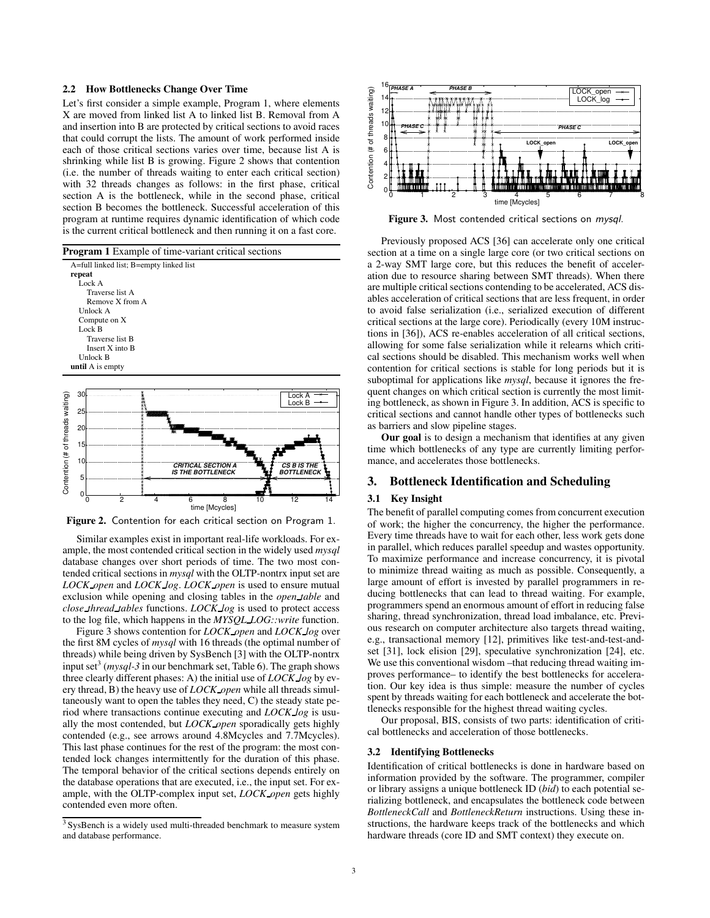## **2.2 How Bottlenecks Change Over Time**

Let's first consider a simple example, Program 1, where elements X are moved from linked list A to linked list B. Removal from A and insertion into B are protected by critical sections to avoid races that could corrupt the lists. The amount of work performed inside each of those critical sections varies over time, because list A is shrinking while list B is growing. Figure 2 shows that contention (i.e. the number of threads waiting to enter each critical section) with 32 threads changes as follows: in the first phase, critical section A is the bottleneck, while in the second phase, critical section B becomes the bottleneck. Successful acceleration of this program at runtime requires dynamic identification of which code is the current critical bottleneck and then running it on a fast core.



**Figure 2.** Contention for each critical section on Program 1.

Similar examples exist in important real-life workloads. For example, the most contended critical section in the widely used *mysql* database changes over short periods of time. The two most contended critical sections in *mysql* with the OLTP-nontrx input set are *LOCK open* and *LOCK log*. *LOCK open* is used to ensure mutual exclusion while opening and closing tables in the *open table* and *close thread tables* functions. *LOCK log* is used to protect access to the log file, which happens in the *MYSQL LOG::write* function.

Figure 3 shows contention for *LOCK open* and *LOCK log* over the first 8M cycles of *mysql* with 16 threads (the optimal number of threads) while being driven by SysBench [3] with the OLTP-nontrx input set<sup>3</sup> (*mysql-3* in our benchmark set, Table 6). The graph shows three clearly different phases: A) the initial use of *LOCK log* by every thread, B) the heavy use of *LOCK open* while all threads simultaneously want to open the tables they need, C) the steady state period where transactions continue executing and *LOCK log* is usually the most contended, but *LOCK open* sporadically gets highly contended (e.g., see arrows around 4.8Mcycles and 7.7Mcycles). This last phase continues for the rest of the program: the most contended lock changes intermittently for the duration of this phase. The temporal behavior of the critical sections depends entirely on the database operations that are executed, i.e., the input set. For example, with the OLTP-complex input set, *LOCK open* gets highly contended even more often.



**Figure 3.** Most contended critical sections on mysql.

Previously proposed ACS [36] can accelerate only one critical section at a time on a single large core (or two critical sections on a 2-way SMT large core, but this reduces the benefit of acceleration due to resource sharing between SMT threads). When there are multiple critical sections contending to be accelerated, ACS disables acceleration of critical sections that are less frequent, in order to avoid false serialization (i.e., serialized execution of different critical sections at the large core). Periodically (every 10M instructions in [36]), ACS re-enables acceleration of all critical sections, allowing for some false serialization while it relearns which critical sections should be disabled. This mechanism works well when contention for critical sections is stable for long periods but it is suboptimal for applications like *mysql*, because it ignores the frequent changes on which critical section is currently the most limiting bottleneck, as shown in Figure 3. In addition, ACS is specific to critical sections and cannot handle other types of bottlenecks such as barriers and slow pipeline stages.

**Our goal** is to design a mechanism that identifies at any given time which bottlenecks of any type are currently limiting performance, and accelerates those bottlenecks.

# **3. Bottleneck Identification and Scheduling**

## **3.1 Key Insight**

The benefit of parallel computing comes from concurrent execution of work; the higher the concurrency, the higher the performance. Every time threads have to wait for each other, less work gets done in parallel, which reduces parallel speedup and wastes opportunity. To maximize performance and increase concurrency, it is pivotal to minimize thread waiting as much as possible. Consequently, a large amount of effort is invested by parallel programmers in reducing bottlenecks that can lead to thread waiting. For example, programmers spend an enormous amount of effort in reducing false sharing, thread synchronization, thread load imbalance, etc. Previous research on computer architecture also targets thread waiting, e.g., transactional memory [12], primitives like test-and-test-andset [31], lock elision [29], speculative synchronization [24], etc. We use this conventional wisdom –that reducing thread waiting improves performance– to identify the best bottlenecks for acceleration. Our key idea is thus simple: measure the number of cycles spent by threads waiting for each bottleneck and accelerate the bottlenecks responsible for the highest thread waiting cycles.

Our proposal, BIS, consists of two parts: identification of critical bottlenecks and acceleration of those bottlenecks.

#### **3.2 Identifying Bottlenecks**

Identification of critical bottlenecks is done in hardware based on information provided by the software. The programmer, compiler or library assigns a unique bottleneck ID (*bid*) to each potential serializing bottleneck, and encapsulates the bottleneck code between *BottleneckCall* and *BottleneckReturn* instructions. Using these instructions, the hardware keeps track of the bottlenecks and which hardware threads (core ID and SMT context) they execute on.

<sup>3</sup> SysBench is a widely used multi-threaded benchmark to measure system and database performance.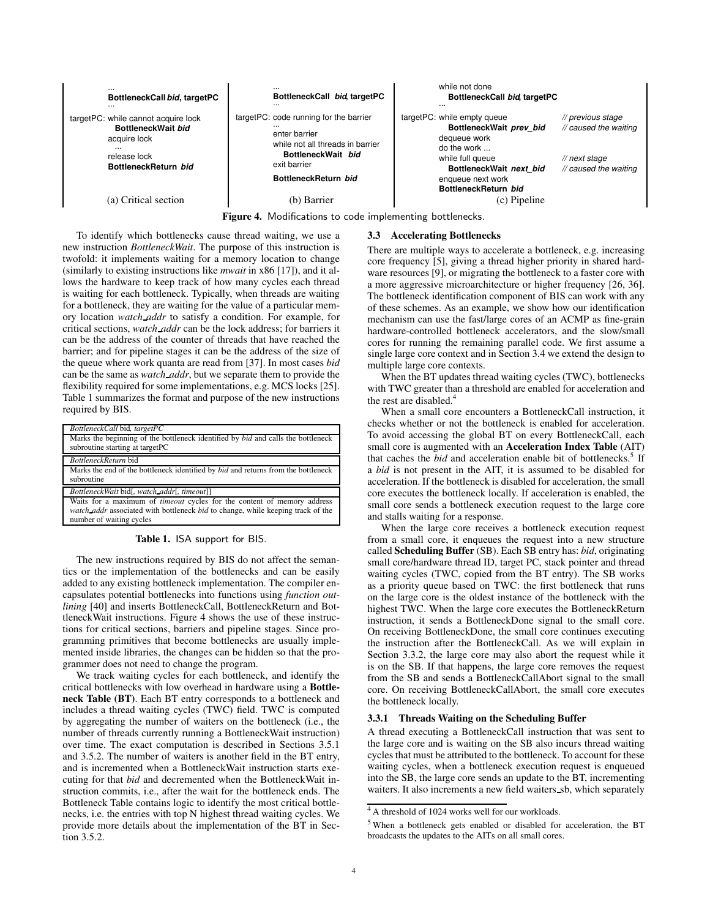| $\cdots$<br>BottleneckCall bid, targetPC<br>                                          | $\cdots$<br>BottleneckCall bid targetPC                                                                 | while not done<br><b>BottleneckCall bid targetPC</b><br>                              |                                                  |  |  |
|---------------------------------------------------------------------------------------|---------------------------------------------------------------------------------------------------------|---------------------------------------------------------------------------------------|--------------------------------------------------|--|--|
| targetPC: while cannot acquire lock<br>BottleneckWait bid<br>acquire lock<br>$\cdots$ | targetPC: code running for the barrier<br>$\cdots$<br>enter barrier<br>while not all threads in barrier | targetPC: while empty queue<br>BottleneckWait prev bid<br>dequeue work<br>do the work | // previous stage<br>// caused the waiting       |  |  |
| release lock<br>BottleneckReturn bid                                                  | BottleneckWait bid<br>exit barrier                                                                      | while full queue<br>BottleneckWait next bid                                           | $\mathcal N$ next stage<br>// caused the waiting |  |  |
|                                                                                       | BottleneckReturn bid                                                                                    | enqueue next work<br>BottleneckReturn bid                                             |                                                  |  |  |
| (a) Critical section                                                                  | (b) Barrier                                                                                             | (c) Pipeline                                                                          |                                                  |  |  |
| <b>Figure 4.</b> Modifications to code implementing bottlenecks.                      |                                                                                                         |                                                                                       |                                                  |  |  |

To identify which bottlenecks cause thread waiting, we use a new instruction *BottleneckWait*. The purpose of this instruction is twofold: it implements waiting for a memory location to change (similarly to existing instructions like *mwait* in x86 [17]), and it allows the hardware to keep track of how many cycles each thread is waiting for each bottleneck. Typically, when threads are waiting for a bottleneck, they are waiting for the value of a particular memory location *watch addr* to satisfy a condition. For example, for critical sections, *watch addr* can be the lock address; for barriers it can be the address of the counter of threads that have reached the barrier; and for pipeline stages it can be the address of the size of the queue where work quanta are read from [37]. In most cases *bid* can be the same as *watch addr*, but we separate them to provide the flexibility required for some implementations, e.g. MCS locks [25]. Table 1 summarizes the format and purpose of the new instructions required by BIS.

| BottleneckCall bid, targetPC                                                                                               |
|----------------------------------------------------------------------------------------------------------------------------|
| Marks the beginning of the bottleneck identified by <i>bid</i> and calls the bottleneck<br>subroutine starting at targetPC |
| BottleneckReturn bid                                                                                                       |
| Marks the end of the bottleneck identified by <i>bid</i> and returns from the bottleneck<br>subroutine                     |
| BottleneckWait bid[, watch_addr[, timeout]]                                                                                |
| Waits for a maximum of <i>timeout</i> cycles for the content of memory address                                             |
| watch addr associated with bottleneck bid to change, while keeping track of the                                            |
| number of waiting cycles                                                                                                   |

**Table 1.** ISA support for BIS.

The new instructions required by BIS do not affect the semantics or the implementation of the bottlenecks and can be easily added to any existing bottleneck implementation. The compiler encapsulates potential bottlenecks into functions using *function outlining* [40] and inserts BottleneckCall, BottleneckReturn and BottleneckWait instructions. Figure 4 shows the use of these instructions for critical sections, barriers and pipeline stages. Since programming primitives that become bottlenecks are usually implemented inside libraries, the changes can be hidden so that the programmer does not need to change the program.

We track waiting cycles for each bottleneck, and identify the critical bottlenecks with low overhead in hardware using a **Bottleneck Table (BT)**. Each BT entry corresponds to a bottleneck and includes a thread waiting cycles (TWC) field. TWC is computed by aggregating the number of waiters on the bottleneck (i.e., the number of threads currently running a BottleneckWait instruction) over time. The exact computation is described in Sections 3.5.1 and 3.5.2. The number of waiters is another field in the BT entry, and is incremented when a BottleneckWait instruction starts executing for that *bid* and decremented when the BottleneckWait instruction commits, i.e., after the wait for the bottleneck ends. The Bottleneck Table contains logic to identify the most critical bottlenecks, i.e. the entries with top N highest thread waiting cycles. We provide more details about the implementation of the BT in Section 3.5.2.

## **3.3 Accelerating Bottlenecks**

There are multiple ways to accelerate a bottleneck, e.g. increasing core frequency [5], giving a thread higher priority in shared hardware resources [9], or migrating the bottleneck to a faster core with a more aggressive microarchitecture or higher frequency [26, 36]. The bottleneck identification component of BIS can work with any of these schemes. As an example, we show how our identification mechanism can use the fast/large cores of an ACMP as fine-grain hardware-controlled bottleneck accelerators, and the slow/small cores for running the remaining parallel code. We first assume a single large core context and in Section 3.4 we extend the design to multiple large core contexts.

When the BT updates thread waiting cycles (TWC), bottlenecks with TWC greater than a threshold are enabled for acceleration and the rest are disabled.<sup>4</sup>

When a small core encounters a BottleneckCall instruction, it checks whether or not the bottleneck is enabled for acceleration. To avoid accessing the global BT on every BottleneckCall, each small core is augmented with an **Acceleration Index Table** (AIT) that caches the *bid* and acceleration enable bit of bottlenecks.<sup>5</sup> If a *bid* is not present in the AIT, it is assumed to be disabled for acceleration. If the bottleneck is disabled for acceleration, the small core executes the bottleneck locally. If acceleration is enabled, the small core sends a bottleneck execution request to the large core and stalls waiting for a response.

When the large core receives a bottleneck execution request from a small core, it enqueues the request into a new structure called **Scheduling Buffer** (SB). Each SB entry has: *bid*, originating small core/hardware thread ID, target PC, stack pointer and thread waiting cycles (TWC, copied from the BT entry). The SB works as a priority queue based on TWC: the first bottleneck that runs on the large core is the oldest instance of the bottleneck with the highest TWC. When the large core executes the BottleneckReturn instruction, it sends a BottleneckDone signal to the small core. On receiving BottleneckDone, the small core continues executing the instruction after the BottleneckCall. As we will explain in Section 3.3.2, the large core may also abort the request while it is on the SB. If that happens, the large core removes the request from the SB and sends a BottleneckCallAbort signal to the small core. On receiving BottleneckCallAbort, the small core executes the bottleneck locally.

## **3.3.1 Threads Waiting on the Scheduling Buffer**

A thread executing a BottleneckCall instruction that was sent to the large core and is waiting on the SB also incurs thread waiting cycles that must be attributed to the bottleneck. To account for these waiting cycles, when a bottleneck execution request is enqueued into the SB, the large core sends an update to the BT, incrementing waiters. It also increments a new field waiters sb, which separately

<sup>4</sup> A threshold of 1024 works well for our workloads.

<sup>5</sup> When a bottleneck gets enabled or disabled for acceleration, the BT broadcasts the updates to the AITs on all small cores.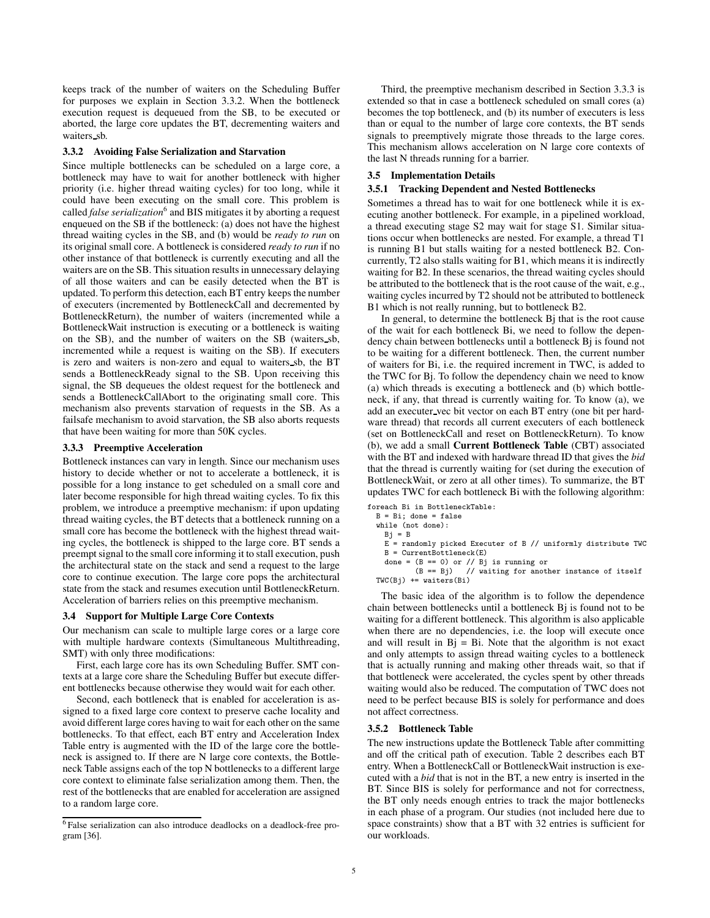keeps track of the number of waiters on the Scheduling Buffer for purposes we explain in Section 3.3.2. When the bottleneck execution request is dequeued from the SB, to be executed or aborted, the large core updates the BT, decrementing waiters and waiters sb.

#### **3.3.2 Avoiding False Serialization and Starvation**

Since multiple bottlenecks can be scheduled on a large core, a bottleneck may have to wait for another bottleneck with higher priority (i.e. higher thread waiting cycles) for too long, while it could have been executing on the small core. This problem is called *false serialization*<sup>6</sup> and BIS mitigates it by aborting a request enqueued on the SB if the bottleneck: (a) does not have the highest thread waiting cycles in the SB, and (b) would be *ready to run* on its original small core. A bottleneck is considered *ready to run* if no other instance of that bottleneck is currently executing and all the waiters are on the SB. This situation results in unnecessary delaying of all those waiters and can be easily detected when the BT is updated. To perform this detection, each BT entry keeps the number of executers (incremented by BottleneckCall and decremented by BottleneckReturn), the number of waiters (incremented while a BottleneckWait instruction is executing or a bottleneck is waiting on the SB), and the number of waiters on the SB (waiters sb, incremented while a request is waiting on the SB). If executers is zero and waiters is non-zero and equal to waiters sb, the BT sends a BottleneckReady signal to the SB. Upon receiving this signal, the SB dequeues the oldest request for the bottleneck and sends a BottleneckCallAbort to the originating small core. This mechanism also prevents starvation of requests in the SB. As a failsafe mechanism to avoid starvation, the SB also aborts requests that have been waiting for more than 50K cycles.

#### **3.3.3 Preemptive Acceleration**

Bottleneck instances can vary in length. Since our mechanism uses history to decide whether or not to accelerate a bottleneck, it is possible for a long instance to get scheduled on a small core and later become responsible for high thread waiting cycles. To fix this problem, we introduce a preemptive mechanism: if upon updating thread waiting cycles, the BT detects that a bottleneck running on a small core has become the bottleneck with the highest thread waiting cycles, the bottleneck is shipped to the large core. BT sends a preempt signal to the small core informing it to stall execution, push the architectural state on the stack and send a request to the large core to continue execution. The large core pops the architectural state from the stack and resumes execution until BottleneckReturn. Acceleration of barriers relies on this preemptive mechanism.

#### **3.4 Support for Multiple Large Core Contexts**

Our mechanism can scale to multiple large cores or a large core with multiple hardware contexts (Simultaneous Multithreading, SMT) with only three modifications:

First, each large core has its own Scheduling Buffer. SMT contexts at a large core share the Scheduling Buffer but execute different bottlenecks because otherwise they would wait for each other.

Second, each bottleneck that is enabled for acceleration is assigned to a fixed large core context to preserve cache locality and avoid different large cores having to wait for each other on the same bottlenecks. To that effect, each BT entry and Acceleration Index Table entry is augmented with the ID of the large core the bottleneck is assigned to. If there are N large core contexts, the Bottleneck Table assigns each of the top N bottlenecks to a different large core context to eliminate false serialization among them. Then, the rest of the bottlenecks that are enabled for acceleration are assigned to a random large core.

Third, the preemptive mechanism described in Section 3.3.3 is extended so that in case a bottleneck scheduled on small cores (a) becomes the top bottleneck, and (b) its number of executers is less than or equal to the number of large core contexts, the BT sends signals to preemptively migrate those threads to the large cores. This mechanism allows acceleration on N large core contexts of the last N threads running for a barrier.

#### **3.5 Implementation Details**

#### **3.5.1 Tracking Dependent and Nested Bottlenecks**

Sometimes a thread has to wait for one bottleneck while it is executing another bottleneck. For example, in a pipelined workload, a thread executing stage S2 may wait for stage S1. Similar situations occur when bottlenecks are nested. For example, a thread T1 is running B1 but stalls waiting for a nested bottleneck B2. Concurrently, T2 also stalls waiting for B1, which means it is indirectly waiting for B2. In these scenarios, the thread waiting cycles should be attributed to the bottleneck that is the root cause of the wait, e.g., waiting cycles incurred by T2 should not be attributed to bottleneck B1 which is not really running, but to bottleneck B2.

In general, to determine the bottleneck Bj that is the root cause of the wait for each bottleneck Bi, we need to follow the dependency chain between bottlenecks until a bottleneck Bj is found not to be waiting for a different bottleneck. Then, the current number of waiters for Bi, i.e. the required increment in TWC, is added to the TWC for Bj. To follow the dependency chain we need to know (a) which threads is executing a bottleneck and (b) which bottleneck, if any, that thread is currently waiting for. To know (a), we add an executer vec bit vector on each BT entry (one bit per hardware thread) that records all current executers of each bottleneck (set on BottleneckCall and reset on BottleneckReturn). To know (b), we add a small **Current Bottleneck Table** (CBT) associated with the BT and indexed with hardware thread ID that gives the *bid* that the thread is currently waiting for (set during the execution of BottleneckWait, or zero at all other times). To summarize, the BT updates TWC for each bottleneck Bi with the following algorithm:

```
foreach Bi in BottleneckTable:
B = Bi; done = false
while (not done):
  Bj = BE = randomly picked Executer of B // uniformly distribute TWC
  B = CurrentBottleneck(E)
  done = (B == 0) or // Bj is running or
```
(B == Bj) // waiting for another instance of itself TWC(Bj) += waiters(Bi)

The basic idea of the algorithm is to follow the dependence chain between bottlenecks until a bottleneck Bj is found not to be waiting for a different bottleneck. This algorithm is also applicable when there are no dependencies, i.e. the loop will execute once and will result in  $Bj = Bi$ . Note that the algorithm is not exact and only attempts to assign thread waiting cycles to a bottleneck that is actually running and making other threads wait, so that if that bottleneck were accelerated, the cycles spent by other threads waiting would also be reduced. The computation of TWC does not need to be perfect because BIS is solely for performance and does not affect correctness.

### **3.5.2 Bottleneck Table**

The new instructions update the Bottleneck Table after committing and off the critical path of execution. Table 2 describes each BT entry. When a BottleneckCall or BottleneckWait instruction is executed with a *bid* that is not in the BT, a new entry is inserted in the BT. Since BIS is solely for performance and not for correctness, the BT only needs enough entries to track the major bottlenecks in each phase of a program. Our studies (not included here due to space constraints) show that a BT with 32 entries is sufficient for our workloads.

<sup>6</sup> False serialization can also introduce deadlocks on a deadlock-free program [36].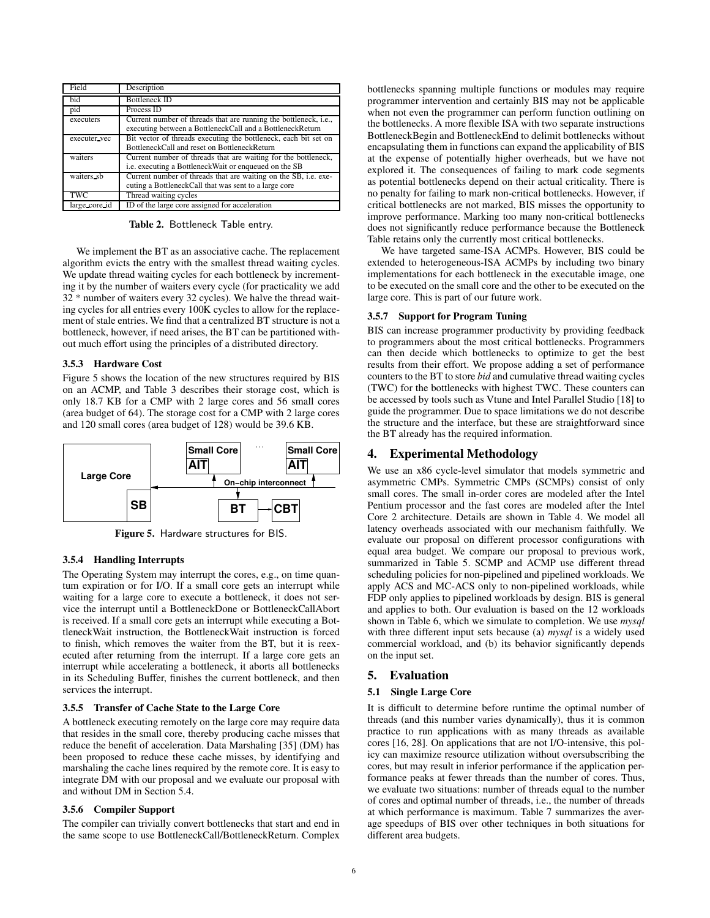| Field         | Description                                                                                                                   |
|---------------|-------------------------------------------------------------------------------------------------------------------------------|
| bid           | <b>Bottleneck ID</b>                                                                                                          |
| pid           | Process ID                                                                                                                    |
| executers     | Current number of threads that are running the bottleneck, i.e.,<br>executing between a BottleneckCall and a BottleneckReturn |
| executer vec  | Bit vector of threads executing the bottleneck, each bit set on<br>BottleneckCall and reset on BottleneckReturn               |
| waiters       | Current number of threads that are waiting for the bottleneck,<br>i.e. executing a Bottleneck Wait or enqueued on the SB      |
| waiters sh    | Current number of threads that are waiting on the SB, i.e. exe-<br>cuting a BottleneckCall that was sent to a large core      |
| TWC           | Thread waiting cycles                                                                                                         |
| large core id | ID of the large core assigned for acceleration                                                                                |

**Table 2.** Bottleneck Table entry.

We implement the BT as an associative cache. The replacement algorithm evicts the entry with the smallest thread waiting cycles. We update thread waiting cycles for each bottleneck by incrementing it by the number of waiters every cycle (for practicality we add 32 \* number of waiters every 32 cycles). We halve the thread waiting cycles for all entries every 100K cycles to allow for the replacement of stale entries. We find that a centralized BT structure is not a bottleneck, however, if need arises, the BT can be partitioned without much effort using the principles of a distributed directory.

## **3.5.3 Hardware Cost**

Figure 5 shows the location of the new structures required by BIS on an ACMP, and Table 3 describes their storage cost, which is only 18.7 KB for a CMP with 2 large cores and 56 small cores (area budget of 64). The storage cost for a CMP with 2 large cores and 120 small cores (area budget of 128) would be 39.6 KB.



**Figure 5.** Hardware structures for BIS.

# **3.5.4 Handling Interrupts**

The Operating System may interrupt the cores, e.g., on time quantum expiration or for I/O. If a small core gets an interrupt while waiting for a large core to execute a bottleneck, it does not service the interrupt until a BottleneckDone or BottleneckCallAbort is received. If a small core gets an interrupt while executing a BottleneckWait instruction, the BottleneckWait instruction is forced to finish, which removes the waiter from the BT, but it is reexecuted after returning from the interrupt. If a large core gets an interrupt while accelerating a bottleneck, it aborts all bottlenecks in its Scheduling Buffer, finishes the current bottleneck, and then services the interrupt.

## **3.5.5 Transfer of Cache State to the Large Core**

A bottleneck executing remotely on the large core may require data that resides in the small core, thereby producing cache misses that reduce the benefit of acceleration. Data Marshaling [35] (DM) has been proposed to reduce these cache misses, by identifying and marshaling the cache lines required by the remote core. It is easy to integrate DM with our proposal and we evaluate our proposal with and without DM in Section 5.4.

## **3.5.6 Compiler Support**

The compiler can trivially convert bottlenecks that start and end in the same scope to use BottleneckCall/BottleneckReturn. Complex bottlenecks spanning multiple functions or modules may require programmer intervention and certainly BIS may not be applicable when not even the programmer can perform function outlining on the bottlenecks. A more flexible ISA with two separate instructions BottleneckBegin and BottleneckEnd to delimit bottlenecks without encapsulating them in functions can expand the applicability of BIS at the expense of potentially higher overheads, but we have not explored it. The consequences of failing to mark code segments as potential bottlenecks depend on their actual criticality. There is no penalty for failing to mark non-critical bottlenecks. However, if critical bottlenecks are not marked, BIS misses the opportunity to improve performance. Marking too many non-critical bottlenecks does not significantly reduce performance because the Bottleneck Table retains only the currently most critical bottlenecks.

We have targeted same-ISA ACMPs. However, BIS could be extended to heterogeneous-ISA ACMPs by including two binary implementations for each bottleneck in the executable image, one to be executed on the small core and the other to be executed on the large core. This is part of our future work.

## **3.5.7 Support for Program Tuning**

BIS can increase programmer productivity by providing feedback to programmers about the most critical bottlenecks. Programmers can then decide which bottlenecks to optimize to get the best results from their effort. We propose adding a set of performance counters to the BT to store *bid* and cumulative thread waiting cycles (TWC) for the bottlenecks with highest TWC. These counters can be accessed by tools such as Vtune and Intel Parallel Studio [18] to guide the programmer. Due to space limitations we do not describe the structure and the interface, but these are straightforward since the BT already has the required information.

## **4. Experimental Methodology**

We use an x86 cycle-level simulator that models symmetric and asymmetric CMPs. Symmetric CMPs (SCMPs) consist of only small cores. The small in-order cores are modeled after the Intel Pentium processor and the fast cores are modeled after the Intel Core 2 architecture. Details are shown in Table 4. We model all latency overheads associated with our mechanism faithfully. We evaluate our proposal on different processor configurations with equal area budget. We compare our proposal to previous work, summarized in Table 5. SCMP and ACMP use different thread scheduling policies for non-pipelined and pipelined workloads. We apply ACS and MC-ACS only to non-pipelined workloads, while FDP only applies to pipelined workloads by design. BIS is general and applies to both. Our evaluation is based on the 12 workloads shown in Table 6, which we simulate to completion. We use *mysql* with three different input sets because (a) *mysql* is a widely used commercial workload, and (b) its behavior significantly depends on the input set.

## **5. Evaluation**

#### **5.1 Single Large Core**

It is difficult to determine before runtime the optimal number of threads (and this number varies dynamically), thus it is common practice to run applications with as many threads as available cores [16, 28]. On applications that are not I/O-intensive, this policy can maximize resource utilization without oversubscribing the cores, but may result in inferior performance if the application performance peaks at fewer threads than the number of cores. Thus, we evaluate two situations: number of threads equal to the number of cores and optimal number of threads, i.e., the number of threads at which performance is maximum. Table 7 summarizes the average speedups of BIS over other techniques in both situations for different area budgets.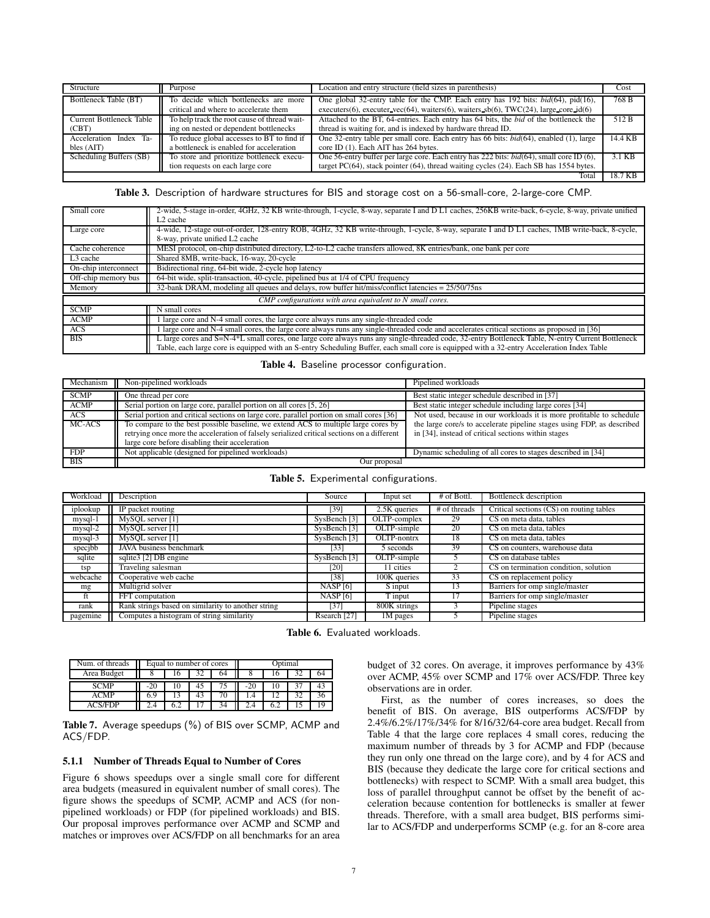| Structure                 | Purpose                                      | Location and entry structure (field sizes in parenthesis)                                    | Cost    |
|---------------------------|----------------------------------------------|----------------------------------------------------------------------------------------------|---------|
| Bottleneck Table (BT)     | To decide which bottlenecks are more         | One global 32-entry table for the CMP. Each entry has 192 bits: $bid(64)$ , $pid(16)$ ,      | 768 B   |
|                           | critical and where to accelerate them        | executers(6), executer_vec(64), waiters(6), waiters_sb(6), TWC(24), large_core_id(6)         |         |
| Current Bottleneck Table  | To help track the root cause of thread wait- | Attached to the BT, 64-entries. Each entry has 64 bits, the <i>bid</i> of the bottleneck the | 512 B   |
| (CBT)                     | ing on nested or dependent bottlenecks       | thread is waiting for, and is indexed by hardware thread ID.                                 |         |
| Index Ta-<br>Acceleration | To reduce global accesses to BT to find if   | One 32-entry table per small core. Each entry has 66 bits: $bid(64)$ , enabled (1), large    | 14.4 KB |
| bles (AIT)                | a bottleneck is enabled for acceleration     | core ID (1). Each AIT has 264 bytes.                                                         |         |
| Scheduling Buffers (SB)   | To store and prioritize bottleneck execu-    | One 56-entry buffer per large core. Each entry has 222 bits: $bid(64)$ , small core ID (6),  | 3.1 KB  |
|                           | tion requests on each large core             | target $PC(64)$ , stack pointer (64), thread waiting cycles (24). Each SB has 1554 bytes.    |         |
|                           |                                              | Total                                                                                        | 18.7 KB |

**Table 3.** Description of hardware structures for BIS and storage cost on a 56-small-core, 2-large-core CMP.

| Small core           | 2-wide, 5-stage in-order, 4GHz, 32 KB write-through, 1-cycle, 8-way, separate I and DL1 caches, 256KB write-back, 6-cycle, 8-way, private unified |
|----------------------|---------------------------------------------------------------------------------------------------------------------------------------------------|
|                      | L <sub>2</sub> cache                                                                                                                              |
| Large core           | 4-wide, 12-stage out-of-order, 128-entry ROB, 4GHz, 32 KB write-through, 1-cycle, 8-way, separate I and D L1 caches, 1MB write-back, 8-cycle,     |
|                      | 8-way, private unified L2 cache                                                                                                                   |
|                      |                                                                                                                                                   |
| Cache coherence      | MESI protocol, on-chip distributed directory, L2-to-L2 cache transfers allowed, 8K entries/bank, one bank per core                                |
| L <sub>3</sub> cache | Shared 8MB, write-back, 16-way, 20-cycle                                                                                                          |
| On-chip interconnect | Bidirectional ring, 64-bit wide, 2-cycle hop latency                                                                                              |
| Off-chip memory bus  | 64-bit wide, split-transaction, 40-cycle, pipelined bus at 1/4 of CPU frequency                                                                   |
| Memory               | 32-bank DRAM, modeling all queues and delays, row buffer hit/miss/conflict latencies $= 25/50/75$ ns                                              |
|                      | $\mathcal{C}\mathcal{M}P$ configurations with area equivalent to $N$ small cores.                                                                 |
| <b>SCMP</b>          | N small cores                                                                                                                                     |
| <b>ACMP</b>          | large core and N-4 small cores, the large core always runs any single-threaded code                                                               |
| <b>ACS</b>           | large core and N-4 small cores, the large core always runs any single-threaded code and accelerates critical sections as proposed in [36]         |
| <b>BIS</b>           | L large cores and S=N-4*L small cores, one large core always runs any single-threaded code, 32-entry Bottleneck Table, N-entry Current Bottleneck |
|                      | Table, each large core is equipped with an S-entry Scheduling Buffer, each small core is equipped with a 32-entry Acceleration Index Table        |

**Table 4.** Baseline processor configuration.

| Mechanism   | Non-pipelined workloads                                                                    | Pipelined workloads                                                    |
|-------------|--------------------------------------------------------------------------------------------|------------------------------------------------------------------------|
| <b>SCMP</b> | One thread per core                                                                        | Best static integer schedule described in [37]                         |
| <b>ACMP</b> | Serial portion on large core, parallel portion on all cores [5, 26]                        | Best static integer schedule including large cores [34]                |
| <b>ACS</b>  | Serial portion and critical sections on large core, parallel portion on small cores [36]   | Not used, because in our workloads it is more profitable to schedule   |
| MC-ACS      | To compare to the best possible baseline, we extend ACS to multiple large cores by         | the large core/s to accelerate pipeline stages using FDP, as described |
|             | retrying once more the acceleration of falsely serialized critical sections on a different | in [34], instead of critical sections within stages                    |
|             | large core before disabling their acceleration                                             |                                                                        |
| <b>FDP</b>  | Not applicable (designed for pipelined workloads)                                          | Dynamic scheduling of all cores to stages described in [34]            |
| <b>BIS</b>  | Our proposal                                                                               |                                                                        |

|  | Table 5. Experimental configurations. |
|--|---------------------------------------|
|  |                                       |

| Workload | Description                                        | Source                  | Input set      | # of Bottl.  | Bottleneck description                   |
|----------|----------------------------------------------------|-------------------------|----------------|--------------|------------------------------------------|
| iplookup | IP packet routing                                  | [39]                    | $2.5K$ queries | # of threads | Critical sections (CS) on routing tables |
| mysql-1  | MySQL server [1]                                   | SysBench <sup>[3]</sup> | OLTP-complex   | 29           | CS on meta data, tables                  |
| mysql-2  | MySQL server [1]                                   | SysBench [3]            | OLTP-simple    | 20           | CS on meta data, tables                  |
| mysql-3  | MvSQL server[1]                                    | SysBench <sup>[3]</sup> | OLTP-nontrx    | 18           | CS on meta data, tables                  |
| specjbb  | JAVA business benchmark                            | [33]                    | 5 seconds      | 39           | CS on counters, warehouse data           |
| sqlite   | sqlite3 [2] DB engine                              | SysBench <sup>[3]</sup> | $OLTP$ -simple |              | CS on database tables                    |
| tsp      | Traveling salesman                                 | [20]                    | 11 cities      |              | CS on termination condition, solution    |
| webcache | Cooperative web cache                              | [38]                    | 100K queries   | 33           | CS on replacement policy                 |
| mg       | Multigrid solver                                   | NASP $[6]$              | S input        | 13           | Barriers for omp single/master           |
| Ħ        | FFT computation                                    | <b>NASP</b> [6]         | T input        |              | Barriers for omp single/master           |
| rank     | Rank strings based on similarity to another string | [37]                    | 800K strings   |              | Pipeline stages                          |
| pagemine | Computes a histogram of string similarity          | Rsearch [27]            | 1M pages       |              | Pipeline stages                          |

**Table 6.** Evaluated workloads.

| Num. of threads     | Equal to number of cores |    |    | <b>Dptimal</b> |     |  |  |  |
|---------------------|--------------------------|----|----|----------------|-----|--|--|--|
| Area Budget         |                          | 10 |    | 64             |     |  |  |  |
| <b>SCMP</b>         | $-20$                    | 10 |    |                | -20 |  |  |  |
| ACMP                | 6.9                      |    | 43 | 70             | 1.4 |  |  |  |
| ACS/F <sub>DP</sub> | 2.4                      |    |    |                |     |  |  |  |

**Table 7.** Average speedups (%) of BIS over SCMP, ACMP and ACS/FDP.

#### **5.1.1 Number of Threads Equal to Number of Cores**

Figure 6 shows speedups over a single small core for different area budgets (measured in equivalent number of small cores). The figure shows the speedups of SCMP, ACMP and ACS (for nonpipelined workloads) or FDP (for pipelined workloads) and BIS. Our proposal improves performance over ACMP and SCMP and matches or improves over ACS/FDP on all benchmarks for an area budget of 32 cores. On average, it improves performance by 43% over ACMP, 45% over SCMP and 17% over ACS/FDP. Three key observations are in order.

First, as the number of cores increases, so does the benefit of BIS. On average, BIS outperforms ACS/FDP by 2.4%/6.2%/17%/34% for 8/16/32/64-core area budget. Recall from Table 4 that the large core replaces 4 small cores, reducing the maximum number of threads by 3 for ACMP and FDP (because they run only one thread on the large core), and by 4 for ACS and BIS (because they dedicate the large core for critical sections and bottlenecks) with respect to SCMP. With a small area budget, this loss of parallel throughput cannot be offset by the benefit of acceleration because contention for bottlenecks is smaller at fewer threads. Therefore, with a small area budget, BIS performs similar to ACS/FDP and underperforms SCMP (e.g. for an 8-core area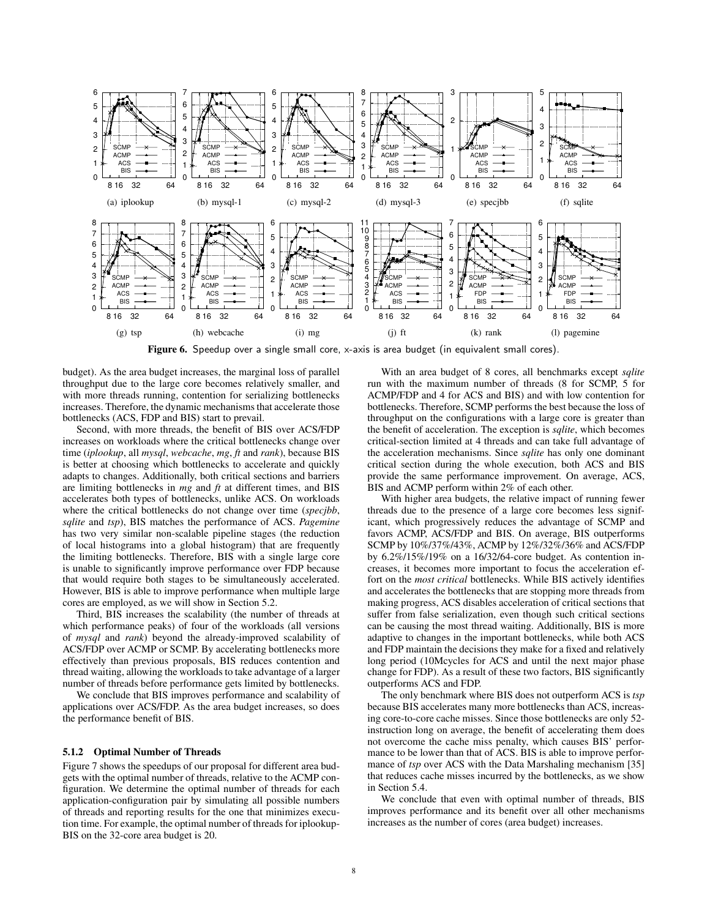

Figure 6. Speedup over a single small core, x-axis is area budget (in equivalent small cores).

budget). As the area budget increases, the marginal loss of parallel throughput due to the large core becomes relatively smaller, and with more threads running, contention for serializing bottlenecks increases. Therefore, the dynamic mechanisms that accelerate those bottlenecks (ACS, FDP and BIS) start to prevail.

Second, with more threads, the benefit of BIS over ACS/FDP increases on workloads where the critical bottlenecks change over time (*iplookup*, all *mysql*, *webcache*, *mg*, *ft* and *rank*), because BIS is better at choosing which bottlenecks to accelerate and quickly adapts to changes. Additionally, both critical sections and barriers are limiting bottlenecks in *mg* and *ft* at different times, and BIS accelerates both types of bottlenecks, unlike ACS. On workloads where the critical bottlenecks do not change over time (*specjbb*, *sqlite* and *tsp*), BIS matches the performance of ACS. *Pagemine* has two very similar non-scalable pipeline stages (the reduction of local histograms into a global histogram) that are frequently the limiting bottlenecks. Therefore, BIS with a single large core is unable to significantly improve performance over FDP because that would require both stages to be simultaneously accelerated. However, BIS is able to improve performance when multiple large cores are employed, as we will show in Section 5.2.

Third, BIS increases the scalability (the number of threads at which performance peaks) of four of the workloads (all versions of *mysql* and *rank*) beyond the already-improved scalability of ACS/FDP over ACMP or SCMP. By accelerating bottlenecks more effectively than previous proposals, BIS reduces contention and thread waiting, allowing the workloads to take advantage of a larger number of threads before performance gets limited by bottlenecks.

We conclude that BIS improves performance and scalability of applications over ACS/FDP. As the area budget increases, so does the performance benefit of BIS.

#### **5.1.2 Optimal Number of Threads**

Figure 7 shows the speedups of our proposal for different area budgets with the optimal number of threads, relative to the ACMP configuration. We determine the optimal number of threads for each application-configuration pair by simulating all possible numbers of threads and reporting results for the one that minimizes execution time. For example, the optimal number of threads for iplookup-BIS on the 32-core area budget is 20.

With an area budget of 8 cores, all benchmarks except *sqlite* run with the maximum number of threads (8 for SCMP, 5 for ACMP/FDP and 4 for ACS and BIS) and with low contention for bottlenecks. Therefore, SCMP performs the best because the loss of throughput on the configurations with a large core is greater than the benefit of acceleration. The exception is *sqlite*, which becomes critical-section limited at 4 threads and can take full advantage of the acceleration mechanisms. Since *sqlite* has only one dominant critical section during the whole execution, both ACS and BIS provide the same performance improvement. On average, ACS, BIS and ACMP perform within 2% of each other.

With higher area budgets, the relative impact of running fewer threads due to the presence of a large core becomes less significant, which progressively reduces the advantage of SCMP and favors ACMP, ACS/FDP and BIS. On average, BIS outperforms SCMP by 10%/37%/43%, ACMP by 12%/32%/36% and ACS/FDP by 6.2%/15%/19% on a 16/32/64-core budget. As contention increases, it becomes more important to focus the acceleration effort on the *most critical* bottlenecks. While BIS actively identifies and accelerates the bottlenecks that are stopping more threads from making progress, ACS disables acceleration of critical sections that suffer from false serialization, even though such critical sections can be causing the most thread waiting. Additionally, BIS is more adaptive to changes in the important bottlenecks, while both ACS and FDP maintain the decisions they make for a fixed and relatively long period (10Mcycles for ACS and until the next major phase change for FDP). As a result of these two factors, BIS significantly outperforms ACS and FDP.

The only benchmark where BIS does not outperform ACS is *tsp* because BIS accelerates many more bottlenecks than ACS, increasing core-to-core cache misses. Since those bottlenecks are only 52 instruction long on average, the benefit of accelerating them does not overcome the cache miss penalty, which causes BIS' performance to be lower than that of ACS. BIS is able to improve performance of *tsp* over ACS with the Data Marshaling mechanism [35] that reduces cache misses incurred by the bottlenecks, as we show in Section 5.4.

We conclude that even with optimal number of threads, BIS improves performance and its benefit over all other mechanisms increases as the number of cores (area budget) increases.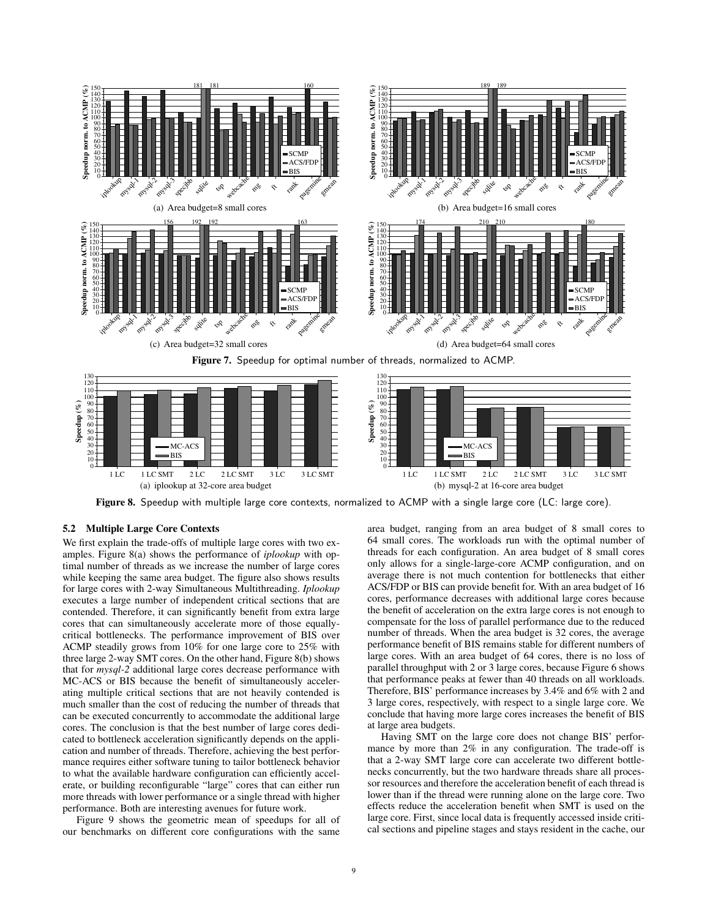

**Figure 8.** Speedup with multiple large core contexts, normalized to ACMP with a single large core (LC: large core).

### **5.2 Multiple Large Core Contexts**

We first explain the trade-offs of multiple large cores with two examples. Figure 8(a) shows the performance of *iplookup* with optimal number of threads as we increase the number of large cores while keeping the same area budget. The figure also shows results for large cores with 2-way Simultaneous Multithreading. *Iplookup* executes a large number of independent critical sections that are contended. Therefore, it can significantly benefit from extra large cores that can simultaneously accelerate more of those equallycritical bottlenecks. The performance improvement of BIS over ACMP steadily grows from 10% for one large core to 25% with three large 2-way SMT cores. On the other hand, Figure 8(b) shows that for *mysql-2* additional large cores decrease performance with MC-ACS or BIS because the benefit of simultaneously accelerating multiple critical sections that are not heavily contended is much smaller than the cost of reducing the number of threads that can be executed concurrently to accommodate the additional large cores. The conclusion is that the best number of large cores dedicated to bottleneck acceleration significantly depends on the application and number of threads. Therefore, achieving the best performance requires either software tuning to tailor bottleneck behavior to what the available hardware configuration can efficiently accelerate, or building reconfigurable "large" cores that can either run more threads with lower performance or a single thread with higher performance. Both are interesting avenues for future work.

Figure 9 shows the geometric mean of speedups for all of our benchmarks on different core configurations with the same

area budget, ranging from an area budget of 8 small cores to 64 small cores. The workloads run with the optimal number of threads for each configuration. An area budget of 8 small cores only allows for a single-large-core ACMP configuration, and on average there is not much contention for bottlenecks that either ACS/FDP or BIS can provide benefit for. With an area budget of 16 cores, performance decreases with additional large cores because the benefit of acceleration on the extra large cores is not enough to compensate for the loss of parallel performance due to the reduced number of threads. When the area budget is 32 cores, the average performance benefit of BIS remains stable for different numbers of large cores. With an area budget of 64 cores, there is no loss of parallel throughput with 2 or 3 large cores, because Figure 6 shows that performance peaks at fewer than 40 threads on all workloads. Therefore, BIS' performance increases by 3.4% and 6% with 2 and 3 large cores, respectively, with respect to a single large core. We conclude that having more large cores increases the benefit of BIS at large area budgets.

Having SMT on the large core does not change BIS' performance by more than 2% in any configuration. The trade-off is that a 2-way SMT large core can accelerate two different bottlenecks concurrently, but the two hardware threads share all processor resources and therefore the acceleration benefit of each thread is lower than if the thread were running alone on the large core. Two effects reduce the acceleration benefit when SMT is used on the large core. First, since local data is frequently accessed inside critical sections and pipeline stages and stays resident in the cache, our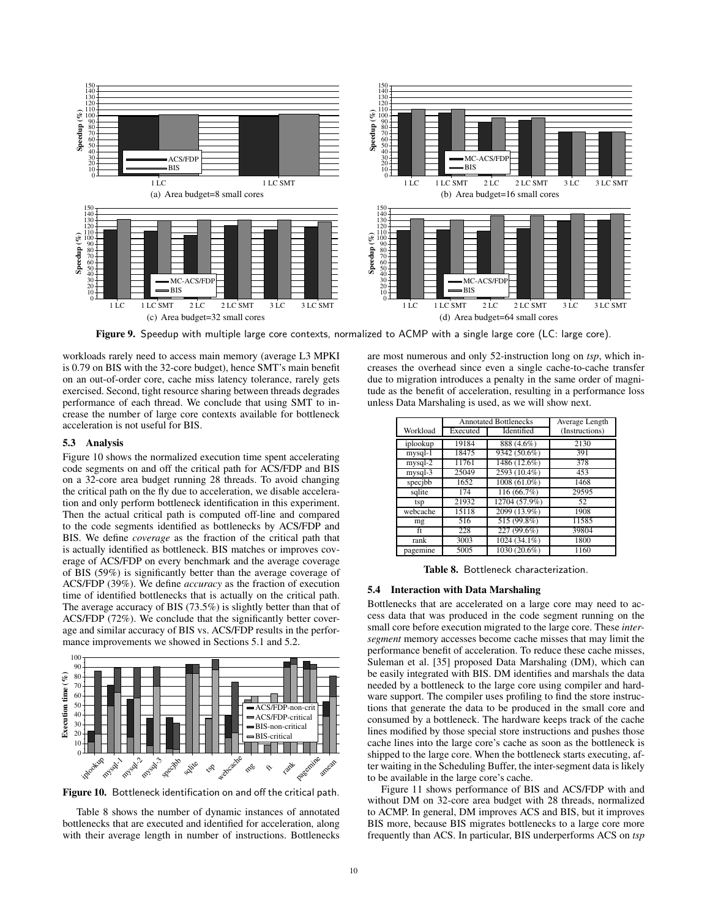

Figure 9. Speedup with multiple large core contexts, normalized to ACMP with a single large core (LC: large core).

workloads rarely need to access main memory (average L3 MPKI is 0.79 on BIS with the 32-core budget), hence SMT's main benefit on an out-of-order core, cache miss latency tolerance, rarely gets exercised. Second, tight resource sharing between threads degrades performance of each thread. We conclude that using SMT to increase the number of large core contexts available for bottleneck acceleration is not useful for BIS.

#### **5.3 Analysis**

Figure 10 shows the normalized execution time spent accelerating code segments on and off the critical path for ACS/FDP and BIS on a 32-core area budget running 28 threads. To avoid changing the critical path on the fly due to acceleration, we disable acceleration and only perform bottleneck identification in this experiment. Then the actual critical path is computed off-line and compared to the code segments identified as bottlenecks by ACS/FDP and BIS. We define *coverage* as the fraction of the critical path that is actually identified as bottleneck. BIS matches or improves coverage of ACS/FDP on every benchmark and the average coverage of BIS (59%) is significantly better than the average coverage of ACS/FDP (39%). We define *accuracy* as the fraction of execution time of identified bottlenecks that is actually on the critical path. The average accuracy of BIS (73.5%) is slightly better than that of ACS/FDP (72%). We conclude that the significantly better coverage and similar accuracy of BIS vs. ACS/FDP results in the performance improvements we showed in Sections 5.1 and 5.2.



**Figure 10.** Bottleneck identification on and off the critical path.

Table 8 shows the number of dynamic instances of annotated bottlenecks that are executed and identified for acceleration, along with their average length in number of instructions. Bottlenecks are most numerous and only 52-instruction long on *tsp*, which increases the overhead since even a single cache-to-cache transfer due to migration introduces a penalty in the same order of magnitude as the benefit of acceleration, resulting in a performance loss unless Data Marshaling is used, as we will show next.

|           |          | <b>Annotated Bottlenecks</b> | Average Length |
|-----------|----------|------------------------------|----------------|
| Workload  | Executed | Identified                   | (Instructions) |
| iplookup  | 19184    | 888 (4.6%)                   | 2130           |
| mysql-1   | 18475    | $9342(50.6\%)$               | 391            |
| $mysql-2$ | 11761    | 1486 (12.6%)                 | 378            |
| $mysql-3$ | 25049    | $2593(10.4\%)$               | 453            |
| specibb   | 1652     | 1008 (61.0%)                 | 1468           |
| sqlite    | 174      | 116 (66.7%)                  | 29595          |
| tsp       | 21932    | 12704 (57.9%)                | 52             |
| webcache  | 15118    | 2099 (13.9%)                 | 1908           |
| mg        | 516      | 515 (99.8%)                  | 11585          |
| ft        | 228      | 227 (99.6%)                  | 39804          |
| rank      | 3003     | 1024 (34.1%)                 | 1800           |
| pagemine  | 5005     | 1030 (20.6%)                 | 1160           |

**Table 8.** Bottleneck characterization.

## **5.4 Interaction with Data Marshaling**

Bottlenecks that are accelerated on a large core may need to access data that was produced in the code segment running on the small core before execution migrated to the large core. These *intersegment* memory accesses become cache misses that may limit the performance benefit of acceleration. To reduce these cache misses, Suleman et al. [35] proposed Data Marshaling (DM), which can be easily integrated with BIS. DM identifies and marshals the data needed by a bottleneck to the large core using compiler and hardware support. The compiler uses profiling to find the store instructions that generate the data to be produced in the small core and consumed by a bottleneck. The hardware keeps track of the cache lines modified by those special store instructions and pushes those cache lines into the large core's cache as soon as the bottleneck is shipped to the large core. When the bottleneck starts executing, after waiting in the Scheduling Buffer, the inter-segment data is likely to be available in the large core's cache.

Figure 11 shows performance of BIS and ACS/FDP with and without DM on 32-core area budget with 28 threads, normalized to ACMP. In general, DM improves ACS and BIS, but it improves BIS more, because BIS migrates bottlenecks to a large core more frequently than ACS. In particular, BIS underperforms ACS on *tsp*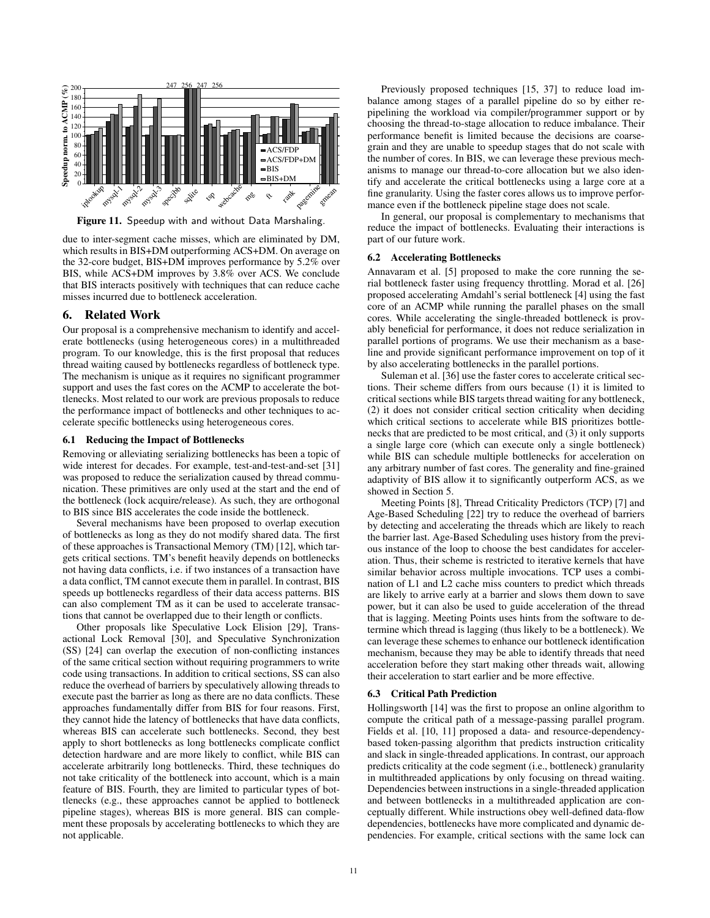

**Figure 11.** Speedup with and without Data Marshaling.

due to inter-segment cache misses, which are eliminated by DM, which results in BIS+DM outperforming ACS+DM. On average on the 32-core budget, BIS+DM improves performance by 5.2% over BIS, while ACS+DM improves by 3.8% over ACS. We conclude that BIS interacts positively with techniques that can reduce cache misses incurred due to bottleneck acceleration.

## **6. Related Work**

Our proposal is a comprehensive mechanism to identify and accelerate bottlenecks (using heterogeneous cores) in a multithreaded program. To our knowledge, this is the first proposal that reduces thread waiting caused by bottlenecks regardless of bottleneck type. The mechanism is unique as it requires no significant programmer support and uses the fast cores on the ACMP to accelerate the bottlenecks. Most related to our work are previous proposals to reduce the performance impact of bottlenecks and other techniques to accelerate specific bottlenecks using heterogeneous cores.

## **6.1 Reducing the Impact of Bottlenecks**

Removing or alleviating serializing bottlenecks has been a topic of wide interest for decades. For example, test-and-test-and-set [31] was proposed to reduce the serialization caused by thread communication. These primitives are only used at the start and the end of the bottleneck (lock acquire/release). As such, they are orthogonal to BIS since BIS accelerates the code inside the bottleneck.

Several mechanisms have been proposed to overlap execution of bottlenecks as long as they do not modify shared data. The first of these approaches is Transactional Memory (TM) [12], which targets critical sections. TM's benefit heavily depends on bottlenecks not having data conflicts, i.e. if two instances of a transaction have a data conflict, TM cannot execute them in parallel. In contrast, BIS speeds up bottlenecks regardless of their data access patterns. BIS can also complement TM as it can be used to accelerate transactions that cannot be overlapped due to their length or conflicts.

Other proposals like Speculative Lock Elision [29], Transactional Lock Removal [30], and Speculative Synchronization (SS) [24] can overlap the execution of non-conflicting instances of the same critical section without requiring programmers to write code using transactions. In addition to critical sections, SS can also reduce the overhead of barriers by speculatively allowing threads to execute past the barrier as long as there are no data conflicts. These approaches fundamentally differ from BIS for four reasons. First, they cannot hide the latency of bottlenecks that have data conflicts, whereas BIS can accelerate such bottlenecks. Second, they best apply to short bottlenecks as long bottlenecks complicate conflict detection hardware and are more likely to conflict, while BIS can accelerate arbitrarily long bottlenecks. Third, these techniques do not take criticality of the bottleneck into account, which is a main feature of BIS. Fourth, they are limited to particular types of bottlenecks (e.g., these approaches cannot be applied to bottleneck pipeline stages), whereas BIS is more general. BIS can complement these proposals by accelerating bottlenecks to which they are not applicable.

Previously proposed techniques [15, 37] to reduce load imbalance among stages of a parallel pipeline do so by either repipelining the workload via compiler/programmer support or by choosing the thread-to-stage allocation to reduce imbalance. Their performance benefit is limited because the decisions are coarsegrain and they are unable to speedup stages that do not scale with the number of cores. In BIS, we can leverage these previous mechanisms to manage our thread-to-core allocation but we also identify and accelerate the critical bottlenecks using a large core at a fine granularity. Using the faster cores allows us to improve performance even if the bottleneck pipeline stage does not scale.

In general, our proposal is complementary to mechanisms that reduce the impact of bottlenecks. Evaluating their interactions is part of our future work.

#### **6.2 Accelerating Bottlenecks**

Annavaram et al. [5] proposed to make the core running the serial bottleneck faster using frequency throttling. Morad et al. [26] proposed accelerating Amdahl's serial bottleneck [4] using the fast core of an ACMP while running the parallel phases on the small cores. While accelerating the single-threaded bottleneck is provably beneficial for performance, it does not reduce serialization in parallel portions of programs. We use their mechanism as a baseline and provide significant performance improvement on top of it by also accelerating bottlenecks in the parallel portions.

Suleman et al. [36] use the faster cores to accelerate critical sections. Their scheme differs from ours because (1) it is limited to critical sections while BIS targets thread waiting for any bottleneck, (2) it does not consider critical section criticality when deciding which critical sections to accelerate while BIS prioritizes bottlenecks that are predicted to be most critical, and (3) it only supports a single large core (which can execute only a single bottleneck) while BIS can schedule multiple bottlenecks for acceleration on any arbitrary number of fast cores. The generality and fine-grained adaptivity of BIS allow it to significantly outperform ACS, as we showed in Section 5.

Meeting Points [8], Thread Criticality Predictors (TCP) [7] and Age-Based Scheduling [22] try to reduce the overhead of barriers by detecting and accelerating the threads which are likely to reach the barrier last. Age-Based Scheduling uses history from the previous instance of the loop to choose the best candidates for acceleration. Thus, their scheme is restricted to iterative kernels that have similar behavior across multiple invocations. TCP uses a combination of L1 and L2 cache miss counters to predict which threads are likely to arrive early at a barrier and slows them down to save power, but it can also be used to guide acceleration of the thread that is lagging. Meeting Points uses hints from the software to determine which thread is lagging (thus likely to be a bottleneck). We can leverage these schemes to enhance our bottleneck identification mechanism, because they may be able to identify threads that need acceleration before they start making other threads wait, allowing their acceleration to start earlier and be more effective.

## **6.3 Critical Path Prediction**

Hollingsworth [14] was the first to propose an online algorithm to compute the critical path of a message-passing parallel program. Fields et al. [10, 11] proposed a data- and resource-dependencybased token-passing algorithm that predicts instruction criticality and slack in single-threaded applications. In contrast, our approach predicts criticality at the code segment (i.e., bottleneck) granularity in multithreaded applications by only focusing on thread waiting. Dependencies between instructions in a single-threaded application and between bottlenecks in a multithreaded application are conceptually different. While instructions obey well-defined data-flow dependencies, bottlenecks have more complicated and dynamic dependencies. For example, critical sections with the same lock can